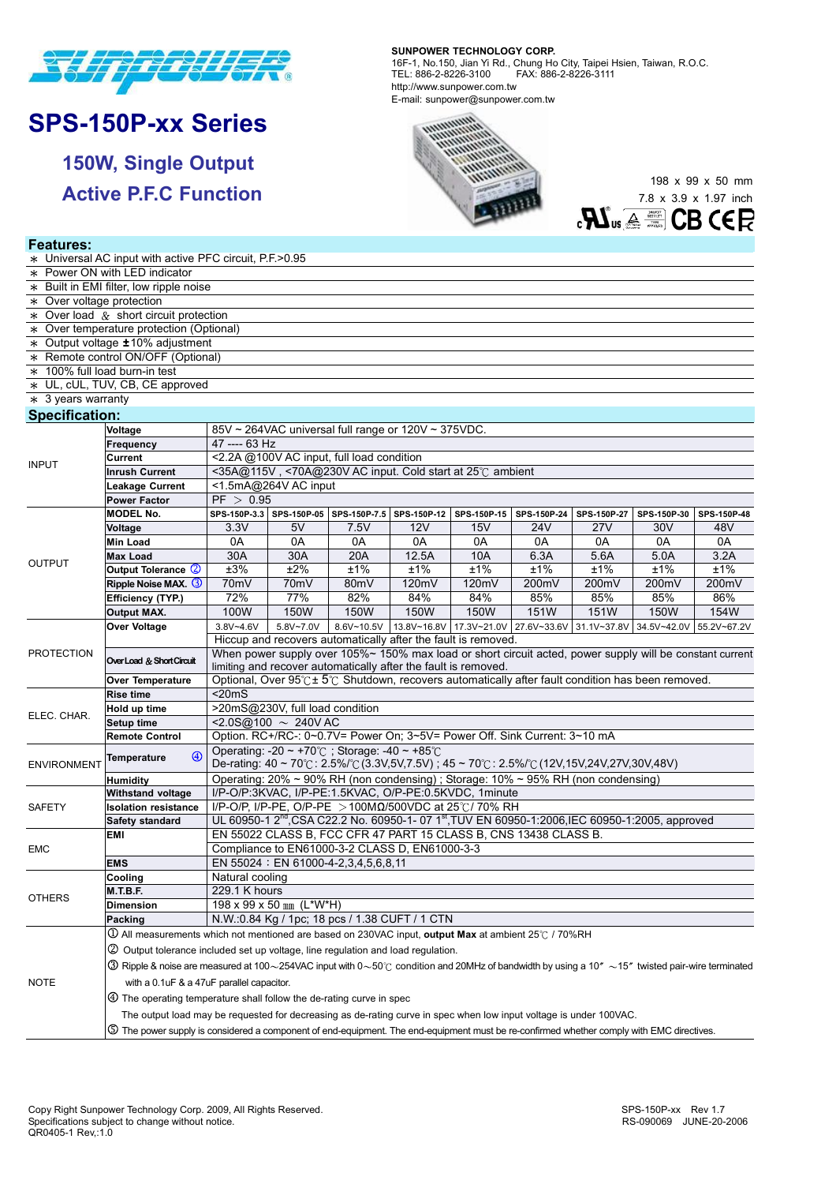

# **SPS-150P-xx Series**

**Features:** 

**150W, Single Output Active P.F.C Function**  **SUNPOWER TECHNOLOGY CORP.**  16F-1, No.150, Jian Yi Rd., Chung Ho City, Taipei Hsien, Taiwan, R.O.C. TEL: 886-2-8226-3100 FAX: 886-2-8226-3111 http://www.sunpower.com.tw E-mail: sunpower@sunpower.com.tw



198 x 99 x 50 mm 7.8 x 3.9 x 1.97 inch  $\mathbf{R}$ **CB CER** 

| * Universal AC input with active PFC circuit, P.F. > 0.95 |                                                                                                                                                                      |                                                                                                                                                                                                                  |                             |            |             |                                                                           |       |             |             |             |  |  |  |
|-----------------------------------------------------------|----------------------------------------------------------------------------------------------------------------------------------------------------------------------|------------------------------------------------------------------------------------------------------------------------------------------------------------------------------------------------------------------|-----------------------------|------------|-------------|---------------------------------------------------------------------------|-------|-------------|-------------|-------------|--|--|--|
| * Power ON with LED indicator                             |                                                                                                                                                                      |                                                                                                                                                                                                                  |                             |            |             |                                                                           |       |             |             |             |  |  |  |
| * Built in EMI filter, low ripple noise                   |                                                                                                                                                                      |                                                                                                                                                                                                                  |                             |            |             |                                                                           |       |             |             |             |  |  |  |
| * Over voltage protection                                 |                                                                                                                                                                      |                                                                                                                                                                                                                  |                             |            |             |                                                                           |       |             |             |             |  |  |  |
| $*$ Over load $&$ short circuit protection                |                                                                                                                                                                      |                                                                                                                                                                                                                  |                             |            |             |                                                                           |       |             |             |             |  |  |  |
| * Over temperature protection (Optional)                  |                                                                                                                                                                      |                                                                                                                                                                                                                  |                             |            |             |                                                                           |       |             |             |             |  |  |  |
| * Output voltage ±10% adjustment                          |                                                                                                                                                                      |                                                                                                                                                                                                                  |                             |            |             |                                                                           |       |             |             |             |  |  |  |
|                                                           | * Remote control ON/OFF (Optional)                                                                                                                                   |                                                                                                                                                                                                                  |                             |            |             |                                                                           |       |             |             |             |  |  |  |
| * 100% full load burn-in test                             |                                                                                                                                                                      |                                                                                                                                                                                                                  |                             |            |             |                                                                           |       |             |             |             |  |  |  |
|                                                           | * UL, cUL, TUV, CB, CE approved                                                                                                                                      |                                                                                                                                                                                                                  |                             |            |             |                                                                           |       |             |             |             |  |  |  |
| $*$ 3 years warranty                                      |                                                                                                                                                                      |                                                                                                                                                                                                                  |                             |            |             |                                                                           |       |             |             |             |  |  |  |
| <b>Specification:</b>                                     |                                                                                                                                                                      |                                                                                                                                                                                                                  |                             |            |             |                                                                           |       |             |             |             |  |  |  |
|                                                           | Voltage                                                                                                                                                              | 85V ~ 264VAC universal full range or 120V ~ 375VDC.                                                                                                                                                              |                             |            |             |                                                                           |       |             |             |             |  |  |  |
|                                                           | Frequency                                                                                                                                                            | 47 ---- 63 Hz                                                                                                                                                                                                    |                             |            |             |                                                                           |       |             |             |             |  |  |  |
|                                                           | Current                                                                                                                                                              | <2.2A @100V AC input, full load condition                                                                                                                                                                        |                             |            |             |                                                                           |       |             |             |             |  |  |  |
| <b>INPUT</b>                                              | <b>Inrush Current</b>                                                                                                                                                | <35A@115V, <70A@230V AC input. Cold start at 25°C ambient                                                                                                                                                        |                             |            |             |                                                                           |       |             |             |             |  |  |  |
|                                                           | <b>Leakage Current</b>                                                                                                                                               | <1.5mA@264V AC input                                                                                                                                                                                             |                             |            |             |                                                                           |       |             |             |             |  |  |  |
|                                                           | <b>Power Factor</b>                                                                                                                                                  | PF > 0.95                                                                                                                                                                                                        |                             |            |             |                                                                           |       |             |             |             |  |  |  |
|                                                           | <b>MODEL No.</b>                                                                                                                                                     | SPS-150P-3.3 SPS-150P-05 SPS-150P-7.5 SPS-150P-12<br>SPS-150P-15<br>SPS-150P-24<br>SPS-150P-30<br>SPS-150P-48<br>SPS-150P-27                                                                                     |                             |            |             |                                                                           |       |             |             |             |  |  |  |
|                                                           |                                                                                                                                                                      | 3.3V                                                                                                                                                                                                             | 5V                          | 7.5V       | 12V         | 15V                                                                       | 24V   | <b>27V</b>  | 30V         | 48V         |  |  |  |
| <b>OUTPUT</b>                                             | Voltage<br><b>Min Load</b>                                                                                                                                           | 0A                                                                                                                                                                                                               | 0A                          | 0A         | 0A          | 0A                                                                        | 0A    | 0A          | 0A          | 0A          |  |  |  |
|                                                           | <b>Max Load</b>                                                                                                                                                      | 30A                                                                                                                                                                                                              | 30A                         | 20A        | 12.5A       | 10A                                                                       | 6.3A  | 5.6A        | 5.0A        | 3.2A        |  |  |  |
|                                                           | Output Tolerance 2                                                                                                                                                   | ±3%                                                                                                                                                                                                              | ±2%                         | ±1%        | ±1%         | ±1%                                                                       | ±1%   | ±1%         | ±1%         | ±1%         |  |  |  |
|                                                           | Ripple Noise MAX. 3                                                                                                                                                  | 70mV                                                                                                                                                                                                             | 70 <sub>m</sub> V           | 80mV       | 120mV       | 120mV                                                                     | 200mV | 200mV       | 200mV       | 200mV       |  |  |  |
|                                                           | Efficiency (TYP.)                                                                                                                                                    | 72%                                                                                                                                                                                                              | 77%                         | 82%        | 84%         | 84%                                                                       | 85%   | 85%         | 85%         | 86%         |  |  |  |
|                                                           | <b>Output MAX.</b>                                                                                                                                                   | 100W                                                                                                                                                                                                             | 150W                        | 150W       | <b>150W</b> | 150W                                                                      | 151W  | 151W        | 150W        | 154W        |  |  |  |
|                                                           |                                                                                                                                                                      |                                                                                                                                                                                                                  |                             |            |             |                                                                           |       |             |             |             |  |  |  |
|                                                           | Over Voltage                                                                                                                                                         | $3.8V - 4.6V$                                                                                                                                                                                                    | 5.8V~7.0V                   | 8.6V~10.5V |             | 13.8V~16.8V 17.3V~21.0V 27.6V~33.6V                                       |       | 31.1V~37.8V | 34.5V~42.0V | 55.2V~67.2V |  |  |  |
| <b>PROTECTION</b>                                         |                                                                                                                                                                      | Hiccup and recovers automatically after the fault is removed.<br>When power supply over 105%~ 150% max load or short circuit acted, power supply will be constant current                                        |                             |            |             |                                                                           |       |             |             |             |  |  |  |
|                                                           | Over Load & Short Circuit                                                                                                                                            | limiting and recover automatically after the fault is removed.                                                                                                                                                   |                             |            |             |                                                                           |       |             |             |             |  |  |  |
|                                                           | <b>Over Temperature</b>                                                                                                                                              | Optional, Over $95^\circ \text{C} \pm 5^\circ \text{C}$ Shutdown, recovers automatically after fault condition has been removed.                                                                                 |                             |            |             |                                                                           |       |             |             |             |  |  |  |
|                                                           | <b>Rise time</b>                                                                                                                                                     | $\overline{\text{20}}$ mS                                                                                                                                                                                        |                             |            |             |                                                                           |       |             |             |             |  |  |  |
| ELEC. CHAR.                                               | Hold up time                                                                                                                                                         | >20mS@230V, full load condition                                                                                                                                                                                  |                             |            |             |                                                                           |       |             |             |             |  |  |  |
|                                                           | Setup time                                                                                                                                                           |                                                                                                                                                                                                                  | $<$ 2.0S@100 $\sim$ 240V AC |            |             |                                                                           |       |             |             |             |  |  |  |
|                                                           | <b>Remote Control</b>                                                                                                                                                |                                                                                                                                                                                                                  |                             |            |             | Option. RC+/RC-: 0~0.7V= Power On; 3~5V= Power Off. Sink Current: 3~10 mA |       |             |             |             |  |  |  |
| <b>ENVIRONMENT</b>                                        | $\circled{4}$<br><b>Temperature</b>                                                                                                                                  | Operating: -20 $\sim$ +70°C; Storage: -40 $\sim$ +85°C                                                                                                                                                           |                             |            |             |                                                                           |       |             |             |             |  |  |  |
|                                                           | <b>Humidity</b>                                                                                                                                                      | De-rating: $40 \sim 70^{\circ}$ C: $2.5\%$ /°C (3.3V,5V,7.5V); $45 \sim 70^{\circ}$ C: $2.5\%$ /°C (12V,15V,24V,27V,30V,48V)<br>Operating: 20% ~ 90% RH (non condensing); Storage: 10% ~ 95% RH (non condensing) |                             |            |             |                                                                           |       |             |             |             |  |  |  |
|                                                           | <b>Withstand voltage</b>                                                                                                                                             | I/P-O/P:3KVAC, I/P-PE:1.5KVAC, O/P-PE:0.5KVDC, 1minute                                                                                                                                                           |                             |            |             |                                                                           |       |             |             |             |  |  |  |
| SAFETY                                                    | <b>Isolation resistance</b>                                                                                                                                          | I/P-O/P, I/P-PE, O/P-PE > 100ΜΩ/500VDC at 25°C/ 70% RH                                                                                                                                                           |                             |            |             |                                                                           |       |             |             |             |  |  |  |
|                                                           | Safety standard                                                                                                                                                      | UL 60950-1 2 <sup>nd</sup> , CSA C22.2 No. 60950-1- 07 1 <sup>st</sup> , TUV EN 60950-1:2006, IEC 60950-1:2005, approved                                                                                         |                             |            |             |                                                                           |       |             |             |             |  |  |  |
|                                                           | EMI                                                                                                                                                                  | EN 55022 CLASS B, FCC CFR 47 PART 15 CLASS B, CNS 13438 CLASS B.                                                                                                                                                 |                             |            |             |                                                                           |       |             |             |             |  |  |  |
| <b>EMC</b>                                                |                                                                                                                                                                      | Compliance to EN61000-3-2 CLASS D, EN61000-3-3                                                                                                                                                                   |                             |            |             |                                                                           |       |             |             |             |  |  |  |
|                                                           | <b>EMS</b>                                                                                                                                                           | EN 55024 : EN 61000-4-2,3,4,5,6,8,11                                                                                                                                                                             |                             |            |             |                                                                           |       |             |             |             |  |  |  |
| <b>OTHERS</b>                                             | Cooling                                                                                                                                                              | Natural cooling                                                                                                                                                                                                  |                             |            |             |                                                                           |       |             |             |             |  |  |  |
|                                                           | <b>M.T.B.F.</b>                                                                                                                                                      | 229.1 K hours                                                                                                                                                                                                    |                             |            |             |                                                                           |       |             |             |             |  |  |  |
|                                                           | Dimension                                                                                                                                                            | 198 x 99 x 50 mm (L*W*H)                                                                                                                                                                                         |                             |            |             |                                                                           |       |             |             |             |  |  |  |
|                                                           | Packing                                                                                                                                                              |                                                                                                                                                                                                                  |                             |            |             |                                                                           |       |             |             |             |  |  |  |
| <b>NOTE</b>                                               | N.W.: 0.84 Kg / 1pc; 18 pcs / 1.38 CUFT / 1 CTN<br>$\overline{0}$ All measurements which not mentioned are based on 230VAC input, output Max at ambient 25°C / 70%RH |                                                                                                                                                                                                                  |                             |            |             |                                                                           |       |             |             |             |  |  |  |
|                                                           | 2 Output tolerance included set up voltage, line regulation and load regulation.                                                                                     |                                                                                                                                                                                                                  |                             |            |             |                                                                           |       |             |             |             |  |  |  |
|                                                           |                                                                                                                                                                      |                                                                                                                                                                                                                  |                             |            |             |                                                                           |       |             |             |             |  |  |  |
|                                                           | $\circledR$ Ripple & noise are measured at 100∼254VAC input with 0∼50℃ condition and 20MHz of bandwidth by using a 10" $\sim$ 15" twisted pair-wire terminated       |                                                                                                                                                                                                                  |                             |            |             |                                                                           |       |             |             |             |  |  |  |
|                                                           | with a 0.1uF & a 47uF parallel capacitor.                                                                                                                            |                                                                                                                                                                                                                  |                             |            |             |                                                                           |       |             |             |             |  |  |  |
|                                                           | $\circled{4}$ The operating temperature shall follow the de-rating curve in spec                                                                                     |                                                                                                                                                                                                                  |                             |            |             |                                                                           |       |             |             |             |  |  |  |
|                                                           |                                                                                                                                                                      | The output load may be requested for decreasing as de-rating curve in spec when low input voltage is under 100VAC.                                                                                               |                             |            |             |                                                                           |       |             |             |             |  |  |  |
|                                                           |                                                                                                                                                                      |                                                                                                                                                                                                                  |                             |            |             |                                                                           |       |             |             |             |  |  |  |

The power supply is considered a component of end-equipment. The end-equipment must be re-confirmed whether comply with EMC directives.